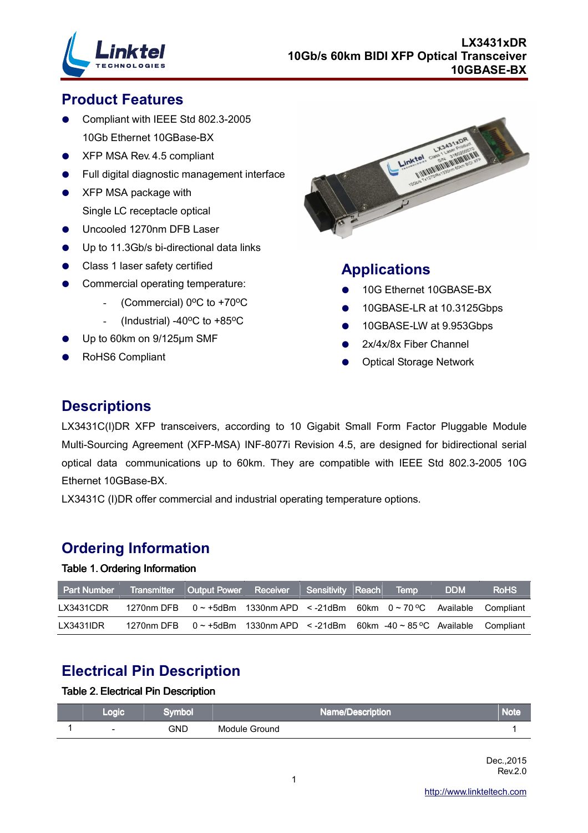

## **Product Features**

- Compliant with IEEE Std 802.3-2005 10Gb Ethernet 10GBase-BX
- XFP MSA Rev. 4.5 compliant
- Full digital diagnostic management interface
- XFP MSA package with Single LC receptacle optical
- Uncooled 1270nm DFB Laser
- Up to 11.3Gb/s bi-directional data links
- Class 1 laser safety certified
- Commercial operating temperature:
	- (Commercial)  $0^{\circ}$ C to +70 $^{\circ}$ C
	- (Industrial) -40 $^{\circ}$ C to +85 $^{\circ}$ C
- Up to 60km on 9/125µm SMF
- RoHS6 Compliant



## **Applications**

- 10G Ethernet 10GBASE-BX
- 10GBASE-LR at 10.3125Gbps
- 10GBASE-LW at 9.953Gbps
- 2x/4x/8x Fiber Channel
- Optical Storage Network

## **Descriptions**

LX3431C(I)DR XFP transceivers, according to 10 Gigabit Small Form Factor Pluggable Module Multi-Sourcing Agreement (XFP-MSA) INF-8077i Revision 4.5, are designed for bidirectional serial optical data communications up to 60km. They are compatible with IEEE Std 802.3-2005 10G Ethernet 10GBase-BX.

LX3431C (I)DR offer commercial and industrial operating temperature options.

## **Ordering Information**

#### Table 1. Ordering Information

| <b>Part Number</b> | Transmitter Output Power Receiver Sensitivity Reach                                  |  |  | <b>Temp</b> | <b>DDM</b> | <b>RoHS</b> |
|--------------------|--------------------------------------------------------------------------------------|--|--|-------------|------------|-------------|
| LX3431CDR          | 1270nm DFB $0 \sim +5$ dBm 1330nm APD $\lt$ -21dBm 60km $0 \sim 70$ °C Available     |  |  |             |            | Compliant   |
| LX3431IDR          | 1270nm DFB $0 \sim +5$ dBm 1330nm APD $\leq -21$ dBm 60km $-40 \sim 85$ °C Available |  |  |             |            | Compliant   |

## **Electrical Pin Description**

#### Table 2. Electrical Pin Description

| Logic                    | iymbol | Name/Description | Note |
|--------------------------|--------|------------------|------|
| $\overline{\phantom{0}}$ | GND    | Module Ground    |      |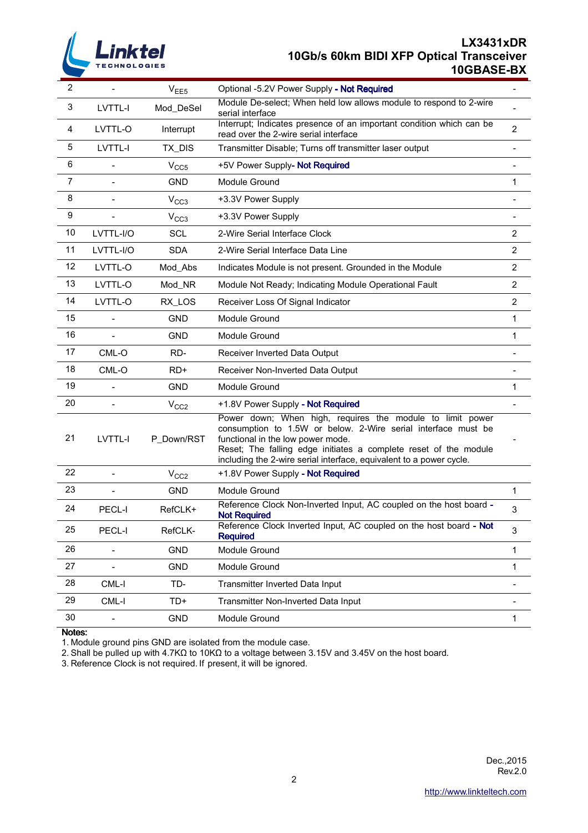

## **LX3431xDR 10Gb/s 60km BIDI XFP Optical Transceiver 10GBASE-BX**

| 2              |                | V <sub>EE5</sub> | Optional -5.2V Power Supply - Not Required                                                                                                                                                                                                                                                                 |                          |
|----------------|----------------|------------------|------------------------------------------------------------------------------------------------------------------------------------------------------------------------------------------------------------------------------------------------------------------------------------------------------------|--------------------------|
| 3              | LVTTL-I        | Mod_DeSel        | Module De-select; When held low allows module to respond to 2-wire<br>serial interface                                                                                                                                                                                                                     |                          |
| 4              | LVTTL-O        | Interrupt        | Interrupt; Indicates presence of an important condition which can be<br>read over the 2-wire serial interface                                                                                                                                                                                              | $\overline{2}$           |
| 5              | LVTTL-I        | TX_DIS           | Transmitter Disable; Turns off transmitter laser output                                                                                                                                                                                                                                                    |                          |
| 6              |                | V <sub>CC5</sub> | +5V Power Supply- Not Required                                                                                                                                                                                                                                                                             |                          |
| $\overline{7}$ |                | <b>GND</b>       | Module Ground                                                                                                                                                                                                                                                                                              | 1                        |
| 8              |                | V <sub>CC3</sub> | +3.3V Power Supply                                                                                                                                                                                                                                                                                         |                          |
| 9              |                | V <sub>CC3</sub> | +3.3V Power Supply                                                                                                                                                                                                                                                                                         |                          |
| 10             | LVTTL-I/O      | <b>SCL</b>       | 2-Wire Serial Interface Clock                                                                                                                                                                                                                                                                              | $\overline{2}$           |
| 11             | LVTTL-I/O      | <b>SDA</b>       | 2-Wire Serial Interface Data Line                                                                                                                                                                                                                                                                          | $\overline{2}$           |
| 12             | LVTTL-O        | Mod_Abs          | Indicates Module is not present. Grounded in the Module                                                                                                                                                                                                                                                    | 2                        |
| 13             | LVTTL-O        | Mod_NR           | Module Not Ready; Indicating Module Operational Fault                                                                                                                                                                                                                                                      | $\overline{2}$           |
| 14             | LVTTL-O        | RX_LOS           | Receiver Loss Of Signal Indicator                                                                                                                                                                                                                                                                          | $\overline{2}$           |
| 15             |                | <b>GND</b>       | Module Ground                                                                                                                                                                                                                                                                                              | 1                        |
| 16             |                | <b>GND</b>       | Module Ground                                                                                                                                                                                                                                                                                              | 1                        |
| 17             | CML-O          | RD-              | Receiver Inverted Data Output                                                                                                                                                                                                                                                                              |                          |
| 18             | CML-O          | $RD+$            | Receiver Non-Inverted Data Output                                                                                                                                                                                                                                                                          |                          |
| 19             | $\overline{a}$ | <b>GND</b>       | Module Ground                                                                                                                                                                                                                                                                                              | 1                        |
| 20             |                | V <sub>CC2</sub> | +1.8V Power Supply - Not Required                                                                                                                                                                                                                                                                          |                          |
| 21             | LVTTL-I        | P_Down/RST       | Power down; When high, requires the module to limit power<br>consumption to 1.5W or below. 2-Wire serial interface must be<br>functional in the low power mode.<br>Reset; The falling edge initiates a complete reset of the module<br>including the 2-wire serial interface, equivalent to a power cycle. |                          |
| 22             |                | V <sub>CC2</sub> | +1.8V Power Supply - Not Required                                                                                                                                                                                                                                                                          |                          |
| 23             |                | <b>GND</b>       | Module Ground                                                                                                                                                                                                                                                                                              | 1                        |
| 24             | PECL-I         | RefCLK+          | Reference Clock Non-Inverted Input, AC coupled on the host board -<br><b>Not Required</b>                                                                                                                                                                                                                  | 3                        |
| 25             | PECL-I         | RefCLK-          | Reference Clock Inverted Input, AC coupled on the host board - Not<br><b>Required</b>                                                                                                                                                                                                                      | $\mathsf 3$              |
| 26             |                | <b>GND</b>       | Module Ground                                                                                                                                                                                                                                                                                              | $\mathbf{1}$             |
| 27             |                | <b>GND</b>       | Module Ground                                                                                                                                                                                                                                                                                              | 1                        |
| 28             | CML-I          | TD-              | Transmitter Inverted Data Input                                                                                                                                                                                                                                                                            | $\overline{\phantom{0}}$ |
| 29             | CML-I          | TD+              | Transmitter Non-Inverted Data Input                                                                                                                                                                                                                                                                        |                          |
| 30             | L,             | <b>GND</b>       | Module Ground                                                                                                                                                                                                                                                                                              | 1                        |

Notes:

1. Module ground pins GND are isolated from the module case.

2. Shall be pulled up with 4.7KΩ to 10KΩ to a voltage between 3.15V and 3.45V on the host board.

3. Reference Clock is not required. If present, it will be ignored.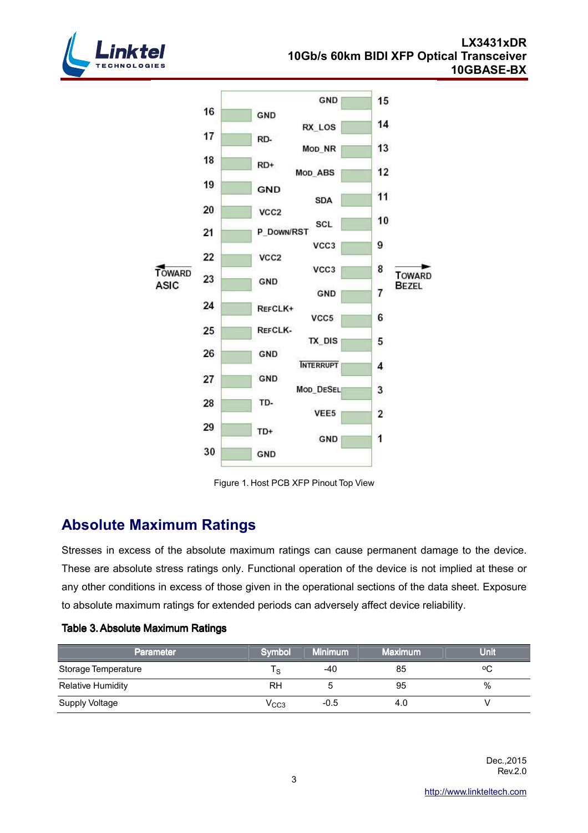



Figure 1. Host PCB XFP Pinout Top View

## **Absolute Maximum Ratings**

Stresses in excess of the absolute maximum ratings can cause permanent damage to the device. These are absolute stress ratings only. Functional operation of the device is not implied at these or any other conditions in excess of those given in the operational sections of the data sheet. Exposure to absolute maximum ratings for extended periods can adversely affect device reliability.

| Parameter                | Symbol           | <b>Minimum</b> | <b>Maximum</b> | <b>Unit</b> |
|--------------------------|------------------|----------------|----------------|-------------|
| Storage Temperature      | $\circ$          | -40            | 85             | °С          |
| <b>Relative Humidity</b> | RH               |                | 95             | %           |
| Supply Voltage           | V <sub>CC3</sub> | $-0.5$         | 4.0            |             |

## Table 3. Absolute Maximum Ratings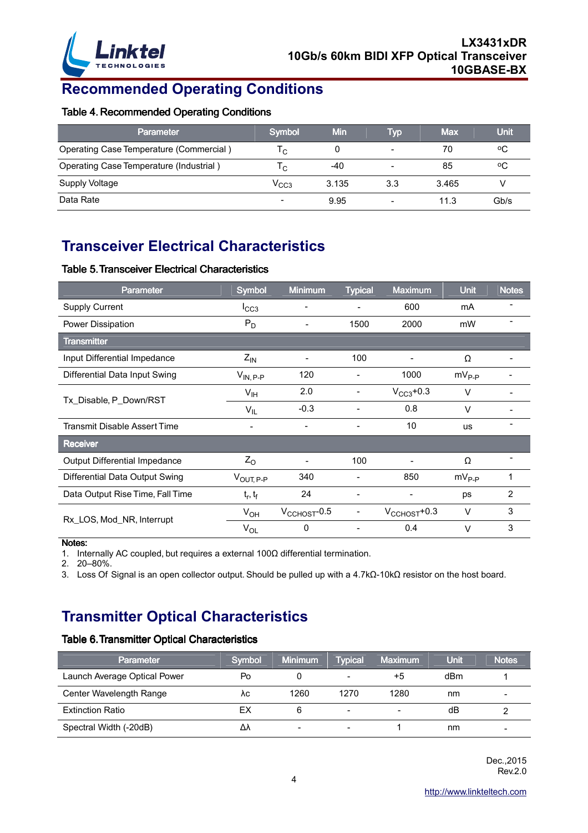

# **Recommended Operating Conditions**

#### Table 4. Recommended Operating Conditions

| <b>Parameter</b>                        | Symbol         | Min   | Typ | <b>Max</b> | <b>Unit</b> |
|-----------------------------------------|----------------|-------|-----|------------|-------------|
| Operating Case Temperature (Commercial) | ۱c.            | 0     |     | 70         | ٥C          |
| Operating Case Temperature (Industrial) | ۱c.            | -40   |     | 85         | ٥C          |
| Supply Voltage                          | $\rm V_{CC3}$  | 3.135 | 3.3 | 3.465      |             |
| Data Rate                               | $\blacksquare$ | 9.95  |     | 11.3       | Gb/s        |

# **Transceiver Electrical Characteristics**

#### Table 5. Transceiver Electrical Characteristics

| <b>Parameter</b>                 | <b>Symbol</b>            | <b>Minimum</b>           | <b>Typical</b>           | <b>Maximum</b>            | <b>Unit</b> | <b>Notes</b>   |
|----------------------------------|--------------------------|--------------------------|--------------------------|---------------------------|-------------|----------------|
| <b>Supply Current</b>            | $I_{CC3}$                |                          |                          | 600                       | mA          |                |
| Power Dissipation                | $P_D$                    | $\blacksquare$           | 1500                     | 2000                      | mW          |                |
| <b>Transmitter</b>               |                          |                          |                          |                           |             |                |
| Input Differential Impedance     | $Z_{\text{IN}}$          | -                        | 100                      |                           | Ω           |                |
| Differential Data Input Swing    | $V_{IN, P-P}$            | 120                      |                          | 1000                      | $mV_{P-P}$  |                |
| Tx_Disable, P_Down/RST           | V <sub>IH</sub>          | 2.0                      |                          | $V_{CC3}$ +0.3            | $\vee$      |                |
|                                  | $V_{IL}$                 | $-0.3$                   |                          | 0.8                       | $\vee$      |                |
| Transmit Disable Assert Time     | $\overline{\phantom{a}}$ | $\overline{\phantom{a}}$ | $\overline{\phantom{a}}$ | 10                        | <b>us</b>   |                |
| <b>Receiver</b>                  |                          |                          |                          |                           |             |                |
| Output Differential Impedance    | $Z_{\rm O}$              |                          | 100                      |                           | Ω           |                |
| Differential Data Output Swing   | $V_{\text{OUT, P-P}}$    | 340                      |                          | 850                       | $mV_{P-P}$  |                |
| Data Output Rise Time, Fall Time | $t_r, t_f$               | 24                       | -                        | $\blacksquare$            | ps          | $\overline{2}$ |
| Rx_LOS, Mod_NR, Interrupt        | $V_{OH}$                 | $V_{\text{CCHOST}}$ -0.5 | -                        | $V_{\text{CCHOST}} + 0.3$ | $\vee$      | 3              |
|                                  | $V_{OL}$                 | 0                        |                          | 0.4                       | $\vee$      | 3              |

#### Notes:

1. Internally AC coupled, but requires a external 100Ω differential termination.

2. 20–80%.

3. Loss Of Signal is an open collector output. Should be pulled up with a 4.7kΩ-10kΩ resistor on the host board.

## **Transmitter Optical Characteristics**

#### Table 6. Transmitter Optical Characteristics

| <b>Parameter</b>             | Symbol | <b>Minimum</b> | <b>Typical</b> | <b>Maximum</b> | <b>Unit</b> | <b>Notes</b>   |
|------------------------------|--------|----------------|----------------|----------------|-------------|----------------|
| Launch Average Optical Power | Po     |                |                | +5             | dBm         |                |
| Center Wavelength Range      | ٨c     | 1260           | 1270           | 1280           | nm          | $\blacksquare$ |
| <b>Extinction Ratio</b>      | ЕX     |                | -              |                | dB          |                |
| Spectral Width (-20dB)       | Δλ     | $\blacksquare$ |                |                | nm          | $\blacksquare$ |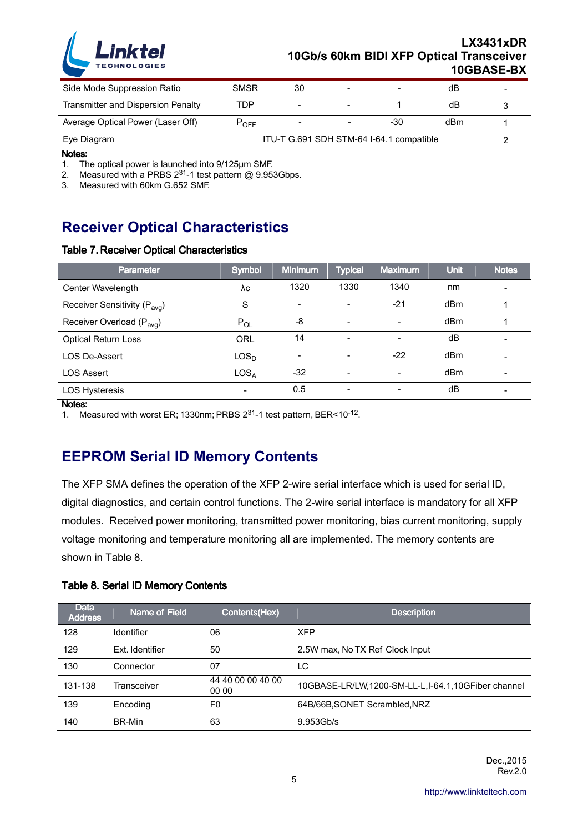

## **LX3431xDR 10Gb/s 60km BIDI XFP Optical Transceiver 10GBASE-BX**

| Side Mode Suppression Ratio        | SMSR                                     | 30                       |  |     | dB  |  |
|------------------------------------|------------------------------------------|--------------------------|--|-----|-----|--|
| Transmitter and Dispersion Penalty | ГDР                                      | $\overline{\phantom{0}}$ |  |     | dB  |  |
| Average Optical Power (Laser Off)  | LOEE                                     |                          |  | -30 | dBm |  |
| Eye Diagram                        | ITU-T G.691 SDH STM-64 I-64.1 compatible |                          |  |     |     |  |

Notes:

1. The optical power is launched into 9/125µm SMF.

2. Measured with a PRBS  $2^{31}$ -1 test pattern @ 9.953Gbps.

3. Measured with 60km G.652 SMF.

## **Receiver Optical Characteristics**

#### Table 7. Receiver Optical Characteristics

| <b>Parameter</b>                         | Symbol                   | <b>Minimum</b> | <b>Typical</b>           | <b>Maximum</b>           | Unit | Notes                    |
|------------------------------------------|--------------------------|----------------|--------------------------|--------------------------|------|--------------------------|
| Center Wavelength                        | λc                       | 1320           | 1330                     | 1340                     | nm   | $\blacksquare$           |
| Receiver Sensitivity (P <sub>avg</sub> ) | S                        | $\blacksquare$ |                          | $-21$                    | dBm  |                          |
| Receiver Overload (P <sub>avg</sub> )    | $P_{OL}$                 | -8             | $\overline{\phantom{0}}$ | $\overline{\phantom{a}}$ | dBm  |                          |
| <b>Optical Return Loss</b>               | ORL                      | 14             | Ξ.                       |                          | dB   |                          |
| <b>LOS De-Assert</b>                     | LOS <sub>D</sub>         |                |                          | $-22$                    | dBm  | $\overline{\phantom{0}}$ |
| <b>LOS Assert</b>                        | LOS <sub>A</sub>         | -32            |                          |                          | dBm  |                          |
| <b>LOS Hysteresis</b>                    | $\overline{\phantom{0}}$ | 0.5            |                          |                          | dB   |                          |

Notes:

1. Measured with worst ER; 1330nm; PRBS 231-1 test pattern, BER<10-12.

## **EEPROM Serial ID Memory Contents**

The XFP SMA defines the operation of the XFP 2-wire serial interface which is used for serial ID, digital diagnostics, and certain control functions. The 2-wire serial interface is mandatory for all XFP modules. Received power monitoring, transmitted power monitoring, bias current monitoring, supply voltage monitoring and temperature monitoring all are implemented. The memory contents are shown in Table 8.

#### Table 8. Serial ID Memory Contents

| <b>Data</b><br><b>Address</b> | Name of Field   | Contents(Hex)              | <b>Description</b>                                 |
|-------------------------------|-----------------|----------------------------|----------------------------------------------------|
| 128                           | Identifier      | 06                         | <b>XFP</b>                                         |
| 129                           | Ext. Identifier | 50                         | 2.5W max, No TX Ref Clock Input                    |
| 130                           | Connector       | 07                         | LC                                                 |
| 131-138                       | Transceiver     | 44 40 00 00 40 00<br>00 00 | 10GBASE-LR/LW,1200-SM-LL-L,I-64.1,10GFiber channel |
| 139                           | Encoding        | F0                         | 64B/66B, SONET Scrambled, NRZ                      |
| 140                           | BR-Min          | 63                         | 9.953Gb/s                                          |

 Dec.,2015 Rev.2.0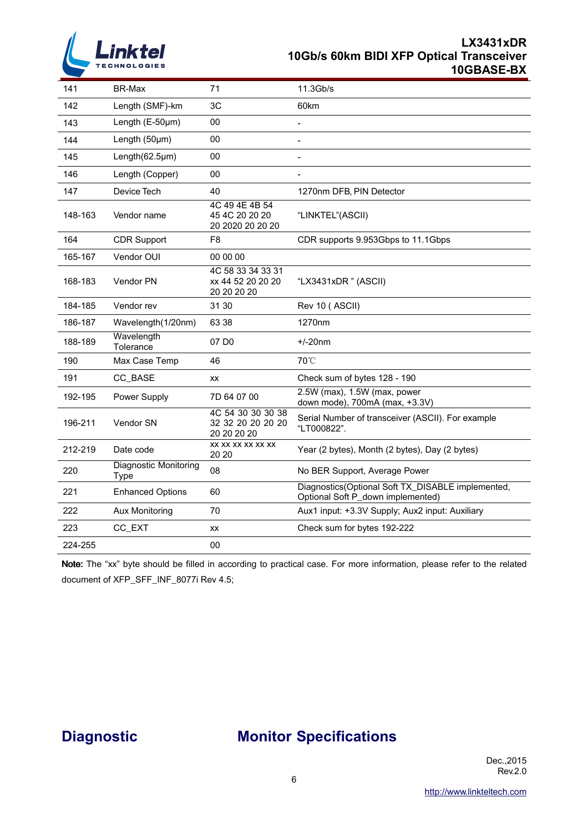

#### **LX3431xDR 10Gb/s 60km BIDI XFP Optical Transceiver 10GBASE-BX**

| 141     | BR-Max                               | 71                                                    | 11.3Gb/s                                                                               |
|---------|--------------------------------------|-------------------------------------------------------|----------------------------------------------------------------------------------------|
| 142     | Length (SMF)-km                      | 3C                                                    | 60km                                                                                   |
| 143     | Length $(E-50\mu m)$                 | 00                                                    |                                                                                        |
| 144     | Length (50µm)                        | 00                                                    | $\overline{\phantom{a}}$                                                               |
| 145     | Length $(62.5 \mu m)$                | 00                                                    | $\overline{\phantom{a}}$                                                               |
| 146     | Length (Copper)                      | 00                                                    |                                                                                        |
| 147     | Device Tech                          | 40                                                    | 1270nm DFB, PIN Detector                                                               |
| 148-163 | Vendor name                          | 4C 49 4E 4B 54<br>45 4C 20 20 20<br>20 2020 20 20 20  | "LINKTEL"(ASCII)                                                                       |
| 164     | <b>CDR Support</b>                   | F8                                                    | CDR supports 9.953Gbps to 11.1Gbps                                                     |
| 165-167 | Vendor OUI                           | 00 00 00                                              |                                                                                        |
| 168-183 | <b>Vendor PN</b>                     | 4C 58 33 34 33 31<br>xx 44 52 20 20 20<br>20 20 20 20 | "LX3431xDR" (ASCII)                                                                    |
| 184-185 | Vendor rev                           | 31 30                                                 | Rev 10 (ASCII)                                                                         |
| 186-187 | Wavelength(1/20nm)                   | 63 38                                                 | 1270nm                                                                                 |
| 188-189 | Wavelength<br>Tolerance              | 07 D <sub>0</sub>                                     | $+/-20$ nm                                                                             |
| 190     | Max Case Temp                        | 46                                                    | 70°C                                                                                   |
| 191     | CC_BASE                              | XX                                                    | Check sum of bytes 128 - 190                                                           |
| 192-195 | Power Supply                         | 7D 64 07 00                                           | 2.5W (max), 1.5W (max, power<br>down mode), 700mA (max, +3.3V)                         |
| 196-211 | Vendor SN                            | 4C 54 30 30 30 38<br>32 32 20 20 20 20<br>20 20 20 20 | Serial Number of transceiver (ASCII). For example<br>"LT000822".                       |
| 212-219 | Date code                            | XX XX XX XX XX XX<br>20 20                            | Year (2 bytes), Month (2 bytes), Day (2 bytes)                                         |
| 220     | <b>Diagnostic Monitoring</b><br>Type | 08                                                    | No BER Support, Average Power                                                          |
| 221     | <b>Enhanced Options</b>              | 60                                                    | Diagnostics(Optional Soft TX_DISABLE implemented,<br>Optional Soft P_down implemented) |
| 222     | Aux Monitoring                       | 70                                                    | Aux1 input: +3.3V Supply; Aux2 input: Auxiliary                                        |
| 223     | CC_EXT                               | XX                                                    | Check sum for bytes 192-222                                                            |
| 224-255 |                                      | 00                                                    |                                                                                        |

Note: The "xx" byte should be filled in according to practical case. For more information, please refer to the related document of XFP\_SFF\_INF\_8077i Rev 4.5;

## **Diagnostic Monitor Specifications**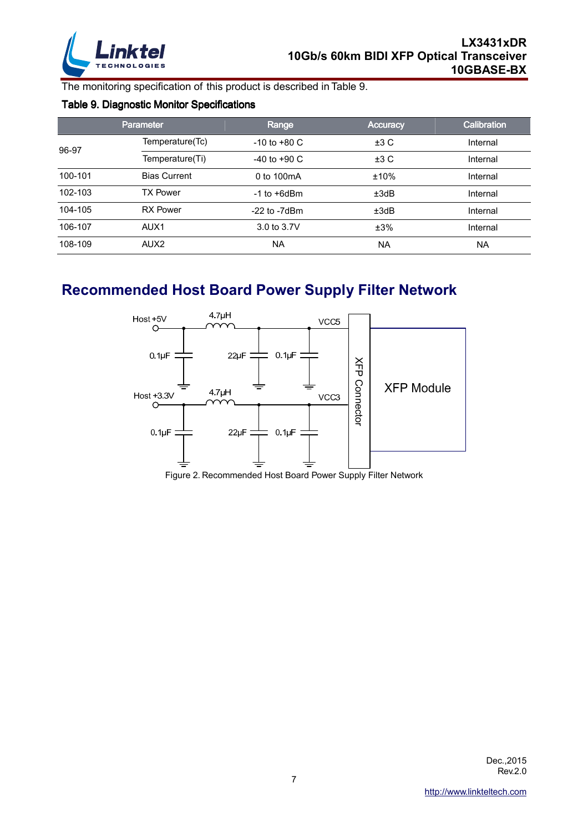

The monitoring specification of this product is described in Table 9.

## Table 9. Diagnostic Monitor Specifications

|         | <b>Parameter</b>    | Range             | <b>Accuracy</b> | Calibration |
|---------|---------------------|-------------------|-----------------|-------------|
| 96-97   | Temperature(Tc)     | $-10$ to $+80$ C  | ±3C             | Internal    |
|         | Temperature(Ti)     | $-40$ to $+90$ C  | ±3C             | Internal    |
| 100-101 | <b>Bias Current</b> | 0 to 100mA        | ±10%            | Internal    |
| 102-103 | <b>TX Power</b>     | $-1$ to $+6$ dBm  | ±3dB            | Internal    |
| 104-105 | <b>RX Power</b>     | $-22$ to $-7d$ Bm | ±3dB            | Internal    |
| 106-107 | AUX <sub>1</sub>    | 3.0 to 3.7V       | ±3%             | Internal    |
| 108-109 | AUX <sub>2</sub>    | <b>NA</b>         | <b>NA</b>       | <b>NA</b>   |

# **Recommended Host Board Power Supply Filter Network**



Figure 2. Recommended Host Board Power Supply Filter Network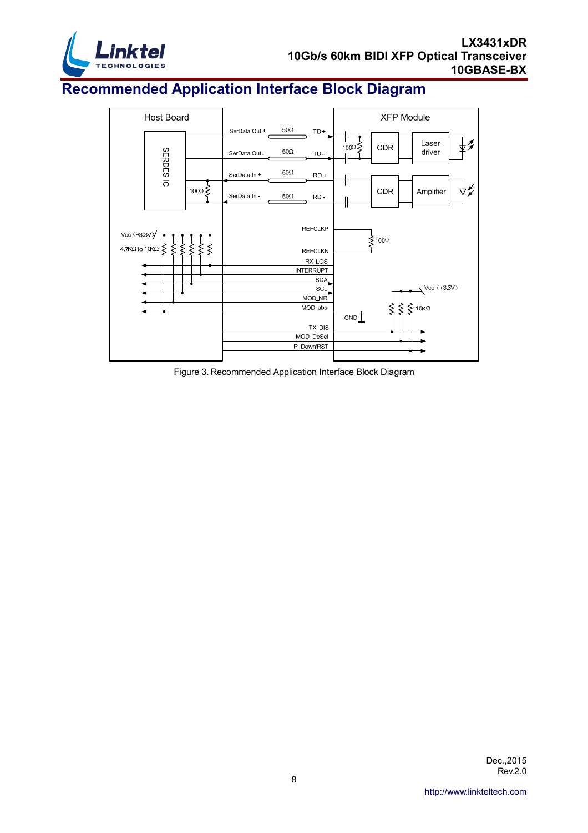

# **Recommended Application Interface Block Diagram**



Figure 3. Recommended Application Interface Block Diagram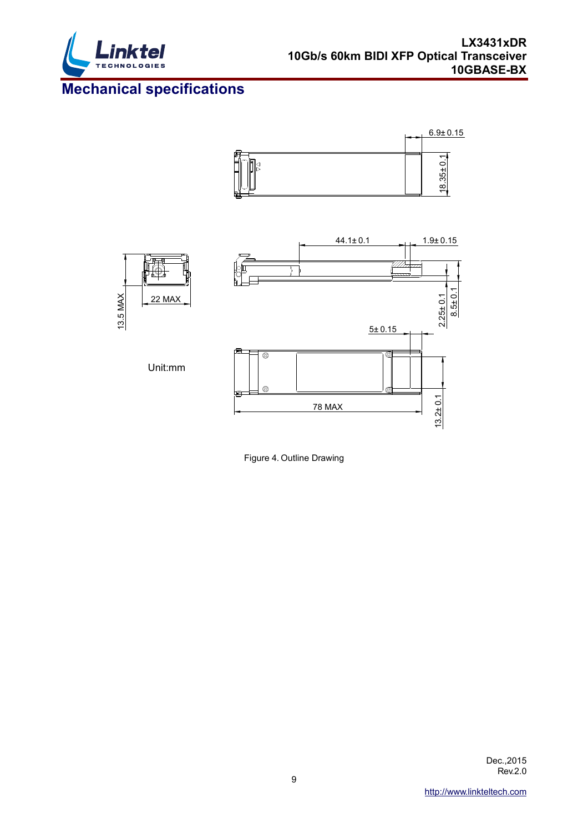

# **Mechanical specifications**





Figure 4. Outline Drawing